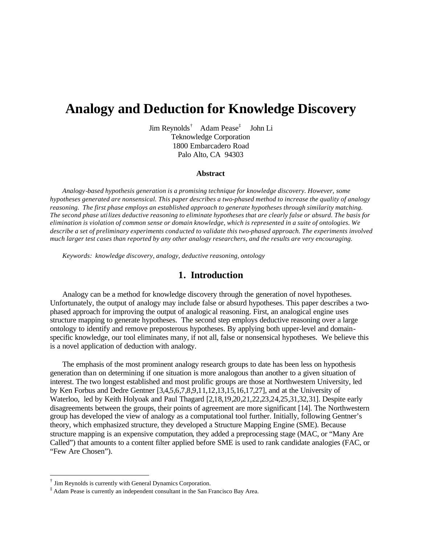# **Analogy and Deduction for Knowledge Discovery**

Jim Reynolds† Adam Pease‡ John Li Teknowledge Corporation 1800 Embarcadero Road Palo Alto, CA 94303

#### **Abstract**

*Analogy-based hypothesis generation is a promising technique for knowledge discovery. However, some hypotheses generated are nonsensical. This paper describes a two-phased method to increase the quality of analogy reasoning. The first phase employs an established approach to generate hypotheses through similarity matching. The second phase utilizes deductive reasoning to eliminate hypotheses that are clearly false or absurd. The basis for elimination is violation of common sense or domain knowledge, which is represented in a suite of ontologies. We describe a set of preliminary experiments conducted to validate this two-phased approach. The experiments involved much larger test cases than reported by any other analogy researchers, and the results are very encouraging.*

*Keywords: knowledge discovery, analogy, deductive reasoning, ontology*

## **1. Introduction**

Analogy can be a method for knowledge discovery through the generation of novel hypotheses. Unfortunately, the output of analogy may include false or absurd hypotheses. This paper describes a twophased approach for improving the output of analogic al reasoning. First, an analogical engine uses structure mapping to generate hypotheses. The second step employs deductive reasoning over a large ontology to identify and remove preposterous hypotheses. By applying both upper-level and domainspecific knowledge, our tool eliminates many, if not all, false or nonsensical hypotheses. We believe this is a novel application of deduction with analogy.

The emphasis of the most prominent analogy research groups to date has been less on hypothesis generation than on determining if one situation is more analogous than another to a given situation of interest. The two longest established and most prolific groups are those at Northwestern University, led by Ken Forbus and Dedre Gentner [3,4,5,6,7,8,9,11,12,13,15,16,17,27], and at the University of Waterloo, led by Keith Holyoak and Paul Thagard [2,18,19,20,21,22,23,24,25,31,32,31]. Despite early disagreements between the groups, their points of agreement are more significant [14]. The Northwestern group has developed the view of analogy as a computational tool further. Initially, following Gentner's theory, which emphasized structure, they developed a Structure Mapping Engine (SME). Because structure mapping is an expensive computation, they added a preprocessing stage (MAC, or "Many Are Called") that amounts to a content filter applied before SME is used to rank candidate analogies (FAC, or "Few Are Chosen").

 $\overline{a}$ 

<sup>†</sup> Jim Reynolds is currently with General Dynamics Corporation.

<sup>‡</sup> Adam Pease is currently an independent consultant in the San Francisco Bay Area.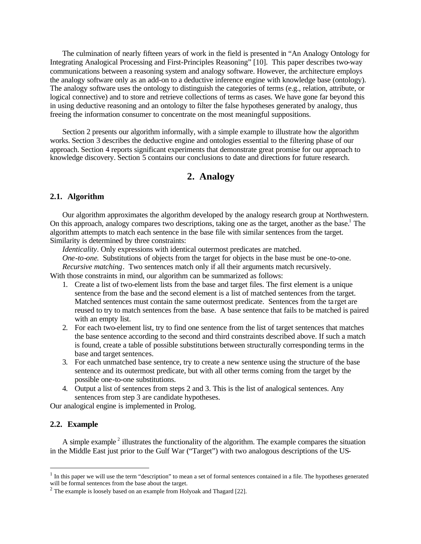The culmination of nearly fifteen years of work in the field is presented in "An Analogy Ontology for Integrating Analogical Processing and First-Principles Reasoning" [10]. This paper describes two-way communications between a reasoning system and analogy software. However, the architecture employs the analogy software only as an add-on to a deductive inference engine with knowledge base (ontology). The analogy software uses the ontology to distinguish the categories of terms (e.g., relation, attribute, or logical connective) and to store and retrieve collections of terms as cases. We have gone far beyond this in using deductive reasoning and an ontology to filter the false hypotheses generated by analogy, thus freeing the information consumer to concentrate on the most meaningful suppositions.

Section 2 presents our algorithm informally, with a simple example to illustrate how the algorithm works. Section 3 describes the deductive engine and ontologies essential to the filtering phase of our approach. Section 4 reports significant experiments that demonstrate great promise for our approach to knowledge discovery. Section 5 contains our conclusions to date and directions for future research.

# **2. Analogy**

#### **2.1. Algorithm**

Our algorithm approximates the algorithm developed by the analogy research group at Northwestern. On this approach, analogy compares two descriptions, taking one as the target, another as the base.<sup>1</sup> The algorithm attempts to match each sentence in the base file with similar sentences from the target. Similarity is determined by three constraints:

*Identicality*. Only expressions with identical outermost predicates are matched.

*One-to-one*. Substitutions of objects from the target for objects in the base must be one-to-one. *Recursive matching*. Two sentences match only if all their arguments match recursively.

With those constraints in mind, our algorithm can be summarized as follows:

- 1. Create a list of two-element lists from the base and target files. The first element is a unique sentence from the base and the second element is a list of matched sentences from the target. Matched sentences must contain the same outermost predicate. Sentences from the ta rget are reused to try to match sentences from the base. A base sentence that fails to be matched is paired with an empty list.
- 2. For each two-element list, try to find one sentence from the list of target sentences that matches the base sentence according to the second and third constraints described above. If such a match is found, create a table of possible substitutions between structurally corresponding terms in the base and target sentences.
- 3. For each unmatched base sentence, try to create a new sentence using the structure of the base sentence and its outermost predicate, but with all other terms coming from the target by the possible one-to-one substitutions.
- 4. Output a list of sentences from steps 2 and 3. This is the list of analogical sentences. Any sentences from step 3 are candidate hypotheses.

Our analogical engine is implemented in Prolog.

#### **2.2. Example**

 $\overline{a}$ 

A simple example<sup>2</sup> illustrates the functionality of the algorithm. The example compares the situation in the Middle East just prior to the Gulf War ("Target") with two analogous descriptions of the US-

 $<sup>1</sup>$  In this paper we will use the term "description" to mean a set of formal sentences contained in a file. The hypotheses generated</sup> will be formal sentences from the base about the target.

 $2^{2}$  The example is loosely based on an example from Holyoak and Thagard [22].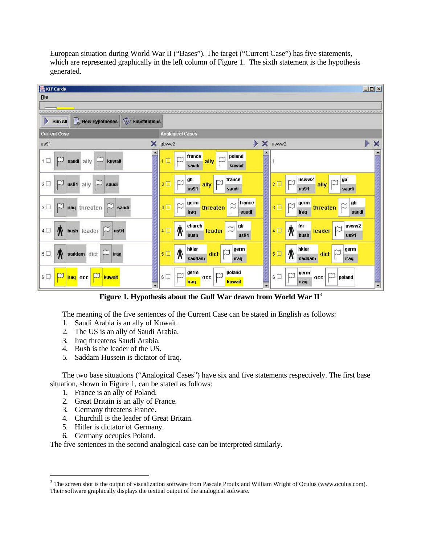European situation during World War II ("Bases"). The target ("Current Case") has five statements, which are represented graphically in the left column of Figure 1. The sixth statement is the hypothesis generated.



**Figure 1. Hypothesis about the Gulf War drawn from World War II<sup>3</sup>**

The meaning of the five sentences of the Current Case can be stated in English as follows:

- 1. Saudi Arabia is an ally of Kuwait.
- 2. The US is an ally of Saudi Arabia.
- 3. Iraq threatens Saudi Arabia.
- 4. Bush is the leader of the US.
- 5. Saddam Hussein is dictator of Iraq.

The two base situations ("Analogical Cases") have six and five statements respectively. The first base situation, shown in Figure 1, can be stated as follows:

- 1. France is an ally of Poland.
- 2. Great Britain is an ally of France.
- 3. Germany threatens France.
- 4. Churchill is the leader of Great Britain.
- 5. Hitler is dictator of Germany.
- 6. Germany occupies Poland.

 $\overline{a}$ 

The five sentences in the second analogical case can be interpreted similarly.

 $3$  The screen shot is the output of visualization software from Pascale Proulx and William Wright of Oculus (www.oculus.com). Their software graphically displays the textual output of the analogical software.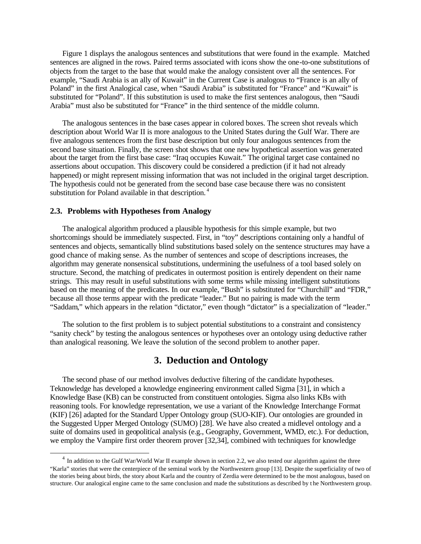Figure 1 displays the analogous sentences and substitutions that were found in the example. Matched sentences are aligned in the rows. Paired terms associated with icons show the one-to-one substitutions of objects from the target to the base that would make the analogy consistent over all the sentences. For example, "Saudi Arabia is an ally of Kuwait" in the Current Case is analogous to "France is an ally of Poland" in the first Analogical case, when "Saudi Arabia" is substituted for "France" and "Kuwait" is substituted for "Poland". If this substitution is used to make the first sentences analogous, then "Saudi Arabia" must also be substituted for "France" in the third sentence of the middle column.

The analogous sentences in the base cases appear in colored boxes. The screen shot reveals which description about World War II is more analogous to the United States during the Gulf War. There are five analogous sentences from the first base description but only four analogous sentences from the second base situation. Finally, the screen shot shows that one new hypothetical assertion was generated about the target from the first base case: "Iraq occupies Kuwait." The original target case contained no assertions about occupation. This discovery could be considered a prediction (if it had not already happened) or might represent missing information that was not included in the original target description. The hypothesis could not be generated from the second base case because there was no consistent substitution for Poland available in that description.<sup>4</sup>

#### **2.3. Problems with Hypotheses from Analogy**

 $\overline{a}$ 

The analogical algorithm produced a plausible hypothesis for this simple example, but two shortcomings should be immediately suspected. First, in "toy" descriptions containing only a handful of sentences and objects, semantically blind substitutions based solely on the sentence structures may have a good chance of making sense. As the number of sentences and scope of descriptions increases, the algorithm may generate nonsensical substitutions, undermining the usefulness of a tool based solely on structure. Second, the matching of predicates in outermost position is entirely dependent on their name strings. This may result in useful substitutions with some terms while missing intelligent substitutions based on the meaning of the predicates. In our example, "Bush" is substituted for "Churchill" and "FDR," because all those terms appear with the predicate "leader." But no pairing is made with the term "Saddam," which appears in the relation "dictator," even though "dictator" is a specialization of "leader."

The solution to the first problem is to subject potential substitutions to a constraint and consistency "sanity check" by testing the analogous sentences or hypotheses over an ontology using deductive rather than analogical reasoning. We leave the solution of the second problem to another paper.

## **3. Deduction and Ontology**

The second phase of our method involves deductive filtering of the candidate hypotheses. Teknowledge has developed a knowledge engineering environment called Sigma [31], in which a Knowledge Base (KB) can be constructed from constituent ontologies. Sigma also links KBs with reasoning tools. For knowledge representation, we use a variant of the Knowledge Interchange Format (KIF) [26] adapted for the Standard Upper Ontology group (SUO-KIF). Our ontologies are grounded in the Suggested Upper Merged Ontology (SUMO) [28]. We have also created a midlevel ontology and a suite of domains used in geopolitical analysis (e.g., Geography, Government, WMD, etc.). For deduction, we employ the Vampire first order theorem prover [32,34], combined with techniques for knowledge

 $4\,$  In addition to the Gulf War/World War II example shown in section 2.2, we also tested our algorithm against the three "Karla" stories that were the centerpiece of the seminal work by the Northwestern group [13]. Despite the superficiality of two of the stories being about birds, the story about Karla and the country of Zerdia were determined to be the most analogous, based on structure. Our analogical engine came to the same conclusion and made the substitutions as described by t he Northwestern group.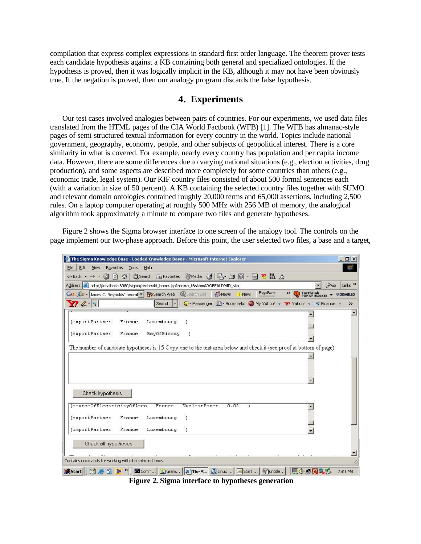compilation that express complex expressions in standard first order language. The theorem prover tests each candidate hypothesis against a KB containing both general and specialized ontologies. If the hypothesis is proved, then it was logically implicit in the KB, although it may not have been obviously true. If the negation is proved, then our analogy program discards the false hypothesis.

# **4. Experiments**

Our test cases involved analogies between pairs of countries. For our experiments, we used data files translated from the HTML pages of the CIA World Factbook (WFB) [1]. The WFB has almanac-style pages of semi-structured textual information for every country in the world. Topics include national government, geography, economy, people, and other subjects of geopolitical interest. There is a core similarity in what is covered. For example, nearly every country has population and per capita income data. However, there are some differences due to varying national situations (e.g., election activities, drug production), and some aspects are described more completely for some countries than others (e.g., economic trade, legal system). Our KIF country files consisted of about 500 formal sentences each (with a variation in size of 50 percent). A KB containing the selected country files together with SUMO and relevant domain ontologies contained roughly 20,000 terms and 65,000 assertions, including 2,500 rules. On a laptop computer operating at roughly 500 MHz with 256 MB of memory, the analogical algorithm took approximately a minute to compare two files and generate hypotheses.

Figure 2 shows the Sigma browser interface to one screen of the analogy tool. The controls on the page implement our two-phase approach. Before this point, the user selected two files, a base and a target,

| The Sigma Knowledge Base - Loaded Knowledge Bases - Microsoft Internet Explorer                                                                                                                           | $ \Box$ $\times$          |
|-----------------------------------------------------------------------------------------------------------------------------------------------------------------------------------------------------------|---------------------------|
| Edit<br>Tools<br>File<br>View<br>Favorites<br>Help                                                                                                                                                        | 醋                         |
| △ ③Search Ra Favorites ④ Media ③ B 刍 @ - 目 <sup>&gt;3</sup> 10 & &<br>問<br>$\leftarrow$ Back $\rightarrow$ $\rightarrow$ $\rightarrow$<br>$\circ$                                                         |                           |
| $\alpha$ Go<br>Address & http://localhost:8080/sigma/arobeald_home.jsp?req=a_t&skb=AROBEALDMID_skb                                                                                                        | Links <sup>&gt;&gt;</sup> |
| PageRank<br>»<br>Google - James C. Reynolds" neural - <b>60</b> Search Web @ Search Site<br>News<br>EarthLink<br>POP-UP BLOCKER<br>! New!                                                                 | <b>ODISABLED</b>          |
| $Y^2$ $2 - 9$<br>© > Messenger [1] > Bookmarks © My Yahoo! > Y? Yahoo! > W Finance ><br>Search $\vert \cdot \vert$                                                                                        | $\rightarrow$             |
| (exportPartner<br>Luxembourg<br>France<br>(exportPartner)<br>BayOfBiscay<br>France<br>The number of candidate hypotheses is 15 Copy one to the text area below and check it (see proof at bottom of page) |                           |
|                                                                                                                                                                                                           |                           |
| Check hypothesis<br>(sourceOfElectricityOfArea<br>France<br>NuclearPower<br>0.02                                                                                                                          |                           |
| <i>(exportPartner</i><br>Luxembourg<br>France<br>(importPartner)<br>Luxembourg<br>France                                                                                                                  |                           |
| Check all hypotheses                                                                                                                                                                                      |                           |
| Contains commands for working with the selected items.                                                                                                                                                    |                           |
| Comm   G Gram   # The S   D Linux    A Start    \ untitle<br>原東のみる<br><b>B</b> Start                                                                                                                      | 2:01 PM                   |

**Figure 2. Sigma interface to hypotheses generation**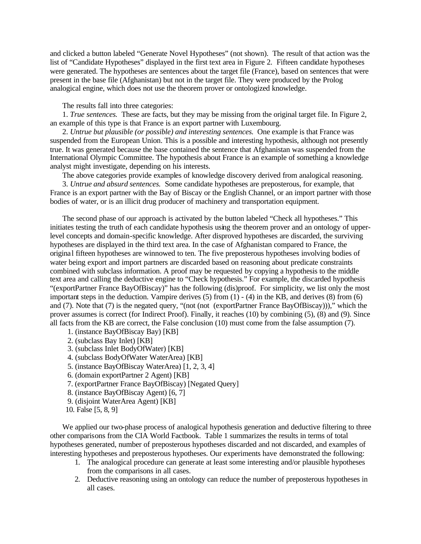and clicked a button labeled "Generate Novel Hypotheses" (not shown). The result of that action was the list of "Candidate Hypotheses" displayed in the first text area in Figure 2. Fifteen candidate hypotheses were generated. The hypotheses are sentences about the target file (France), based on sentences that were present in the base file (Afghanistan) but not in the target file. They were produced by the Prolog analogical engine, which does not use the theorem prover or ontologized knowledge.

The results fall into three categories:

1. *True sentences.* These are facts, but they may be missing from the original target file. In Figure 2, an example of this type is that France is an export partner with Luxembourg.

2. *Untrue but plausible (or possible) and interesting sentences.* One example is that France was suspended from the European Union. This is a possible and interesting hypothesis, although not presently true. It was generated because the base contained the sentence that Afghanistan was suspended from the International Olympic Committee. The hypothesis about France is an example of something a knowledge analyst might investigate, depending on his interests.

The above categories provide examples of knowledge discovery derived from analogical reasoning.

3. *Untrue and absurd sentences.* Some candidate hypotheses are preposterous, for example, that France is an export partner with the Bay of Biscay or the English Channel, or an import partner with those bodies of water, or is an illicit drug producer of machinery and transportation equipment.

The second phase of our approach is activated by the button labeled "Check all hypotheses." This initiates testing the truth of each candidate hypothesis using the theorem prover and an ontology of upperlevel concepts and domain-specific knowledge. After disproved hypotheses are discarded, the surviving hypotheses are displayed in the third text area. In the case of Afghanistan compared to France, the original fifteen hypotheses are winnowed to ten. The five preposterous hypotheses involving bodies of water being export and import partners are discarded based on reasoning about predicate constraints combined with subclass information. A proof may be requested by copying a hypothesis to the middle text area and calling the deductive engine to "Check hypothesis." For example, the discarded hypothesis "(exportPartner France BayOfBiscay)" has the following (dis)proof. For simplicity, we list only the most important steps in the deduction. Vampire derives  $(5)$  from  $(1)$  -  $(4)$  in the KB, and derives  $(8)$  from  $(6)$ and (7). Note that (7) is the negated query, "(not (not (exportPartner France BayOfBiscay)))," which the prover assumes is correct (for Indirect Proof). Finally, it reaches (10) by combining (5), (8) and (9). Since all facts from the KB are correct, the False conclusion (10) must come from the false assumption (7).

- 1. (instance BayOfBiscay Bay) [KB]
- 2. (subclass Bay Inlet) [KB]
- 3. (subclass Inlet BodyOfWater) [KB]
- 4. (subclass BodyOfWater WaterArea) [KB]
- 5. (instance BayOfBiscay WaterArea) [1, 2, 3, 4]
- 6. (domain exportPartner 2 Agent) [KB]
- 7. (exportPartner France BayOfBiscay) [Negated Query]
- 8. (instance BayOfBiscay Agent) [6, 7]
- 9. (disjoint WaterArea Agent) [KB]
- 10. False [5, 8, 9]

We applied our two-phase process of analogical hypothesis generation and deductive filtering to three other comparisons from the CIA World Factbook. Table 1 summarizes the results in terms of total hypotheses generated, number of preposterous hypotheses discarded and not discarded, and examples of interesting hypotheses and preposterous hypotheses. Our experiments have demonstrated the following:

- 1. The analogical procedure can generate at least some interesting and/or plausible hypotheses from the comparisons in all cases.
- 2. Deductive reasoning using an ontology can reduce the number of preposterous hypotheses in all cases.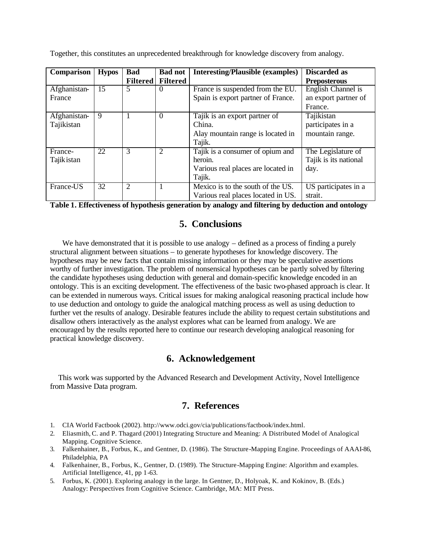|  | Together, this constitutes an unprecedented breakthrough for knowledge discovery from analogy. |  |  |
|--|------------------------------------------------------------------------------------------------|--|--|
|  |                                                                                                |  |  |

| Comparison   | <b>Hypos</b> | <b>Bad</b>      | <b>Bad not</b>  | <b>Interesting/Plausible (examples)</b> | <b>Discarded as</b>   |
|--------------|--------------|-----------------|-----------------|-----------------------------------------|-----------------------|
|              |              | <b>Filtered</b> | <b>Filtered</b> |                                         | <b>Preposterous</b>   |
| Afghanistan- | 15           | 5               | $\theta$        | France is suspended from the EU.        | English Channel is    |
| France       |              |                 |                 | Spain is export partner of France.      | an export partner of  |
|              |              |                 |                 |                                         | France.               |
| Afghanistan- | 9            |                 | $\theta$        | Tajik is an export partner of           | Tajikistan            |
| Tajikistan   |              |                 |                 | China.                                  | participates in a     |
|              |              |                 |                 | Alay mountain range is located in       | mountain range.       |
|              |              |                 |                 | Tajik.                                  |                       |
| France-      | 22           | 3               | $\overline{2}$  | Tajik is a consumer of opium and        | The Legislature of    |
| Tajik istan  |              |                 |                 | heroin.                                 | Tajik is its national |
|              |              |                 |                 | Various real places are located in      | day.                  |
|              |              |                 |                 | Tajik.                                  |                       |
| France-US    | 32           | $\overline{2}$  | 1               | Mexico is to the south of the US.       | US participates in a  |
|              |              |                 |                 | Various real places located in US.      | strait.               |

**Table 1. Effectiveness of hypothesis generation by analogy and filtering by deduction and ontology**

# **5. Conclusions**

We have demonstrated that it is possible to use analogy – defined as a process of finding a purely structural alignment between situations – to generate hypotheses for knowledge discovery. The hypotheses may be new facts that contain missing information or they may be speculative assertions worthy of further investigation. The problem of nonsensical hypotheses can be partly solved by filtering the candidate hypotheses using deduction with general and domain-specific knowledge encoded in an ontology. This is an exciting development. The effectiveness of the basic two-phased approach is clear. It can be extended in numerous ways. Critical issues for making analogical reasoning practical include how to use deduction and ontology to guide the analogical matching process as well as using deduction to further vet the results of analogy. Desirable features include the ability to request certain substitutions and disallow others interactively as the analyst explores what can be learned from analogy. We are encouraged by the results reported here to continue our research developing analogical reasoning for practical knowledge discovery.

# **6. Acknowledgement**

 This work was supported by the Advanced Research and Development Activity, Novel Intelligence from Massive Data program.

# **7. References**

- 1. CIA World Factbook (2002). http://www.odci.gov/cia/publications/factbook/index.html.
- 2. Eliasmith, C. and P. Thagard (2001) Integrating Structure and Meaning: A Distributed Model of Analogical Mapping. Cognitive Science.
- 3. Falkenhainer, B., Forbus, K., and Gentner, D. (1986). The Structure-Mapping Engine. Proceedings of AAAI-86, Philadelphia, PA
- 4. Falkenhainer, B., Forbus, K., Gentner, D. (1989). The Structure-Mapping Engine: Algorithm and examples. Artificial Intelligence, 41, pp 1-63.
- 5. Forbus, K. (2001). Exploring analogy in the large. In Gentner, D., Holyoak, K. and Kokinov, B. (Eds.) Analogy: Perspectives from Cognitive Science. Cambridge, MA: MIT Press.